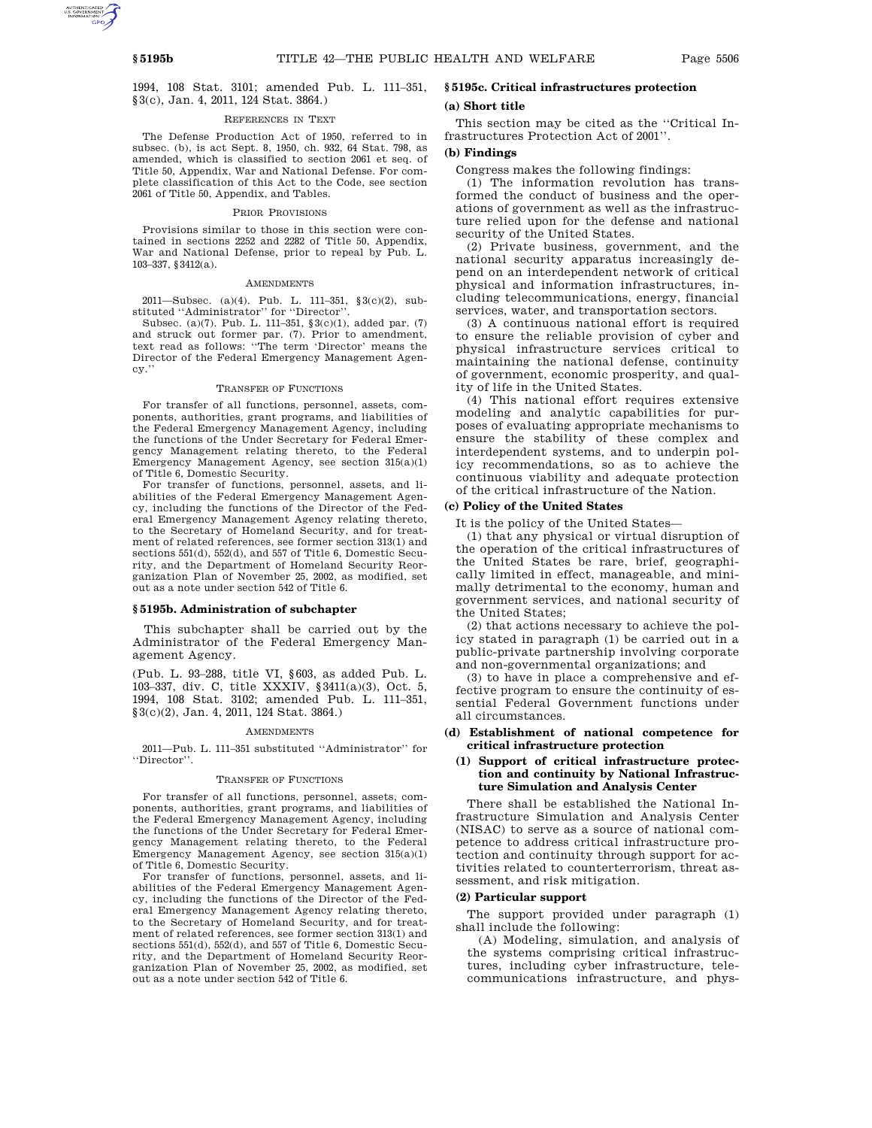1994, 108 Stat. 3101; amended Pub. L. 111–351, §3(c), Jan. 4, 2011, 124 Stat. 3864.)

### REFERENCES IN TEXT

The Defense Production Act of 1950, referred to in subsec. (b), is act Sept. 8, 1950, ch. 932, 64 Stat. 798, as amended, which is classified to section 2061 et seq. of Title 50, Appendix, War and National Defense. For complete classification of this Act to the Code, see section 2061 of Title 50, Appendix, and Tables.

### PRIOR PROVISIONS

Provisions similar to those in this section were contained in sections 2252 and 2282 of Title 50, Appendix, War and National Defense, prior to repeal by Pub. L. 103–337, §3412(a).

#### AMENDMENTS

2011—Subsec. (a)(4). Pub. L. 111–351, §3(c)(2), substituted ''Administrator'' for ''Director''.

Subsec. (a)(7). Pub. L. 111–351, §3(c)(1), added par. (7) and struck out former par. (7). Prior to amendment, text read as follows: ''The term 'Director' means the Director of the Federal Emergency Management Agency.''

### TRANSFER OF FUNCTIONS

For transfer of all functions, personnel, assets, components, authorities, grant programs, and liabilities of the Federal Emergency Management Agency, including the functions of the Under Secretary for Federal Emergency Management relating thereto, to the Federal Emergency Management Agency, see section 315(a)(1) of Title 6, Domestic Security.

For transfer of functions, personnel, assets, and liabilities of the Federal Emergency Management Agency, including the functions of the Director of the Federal Emergency Management Agency relating thereto, to the Secretary of Homeland Security, and for treatment of related references, see former section 313(1) and sections 551(d), 552(d), and 557 of Title 6, Domestic Security, and the Department of Homeland Security Reorganization Plan of November 25, 2002, as modified, set out as a note under section 542 of Title 6.

## **§ 5195b. Administration of subchapter**

This subchapter shall be carried out by the Administrator of the Federal Emergency Management Agency.

(Pub. L. 93–288, title VI, §603, as added Pub. L. 103–337, div. C, title XXXIV, §3411(a)(3), Oct. 5, 1994, 108 Stat. 3102; amended Pub. L. 111–351, §3(c)(2), Jan. 4, 2011, 124 Stat. 3864.)

#### **AMENDMENTS**

2011—Pub. L. 111–351 substituted ''Administrator'' for ''Director''.

#### TRANSFER OF FUNCTIONS

For transfer of all functions, personnel, assets, components, authorities, grant programs, and liabilities of the Federal Emergency Management Agency, including the functions of the Under Secretary for Federal Emergency Management relating thereto, to the Federal Emergency Management Agency, see section 315(a)(1) of Title 6, Domestic Security.

For transfer of functions, personnel, assets, and liabilities of the Federal Emergency Management Agency, including the functions of the Director of the Federal Emergency Management Agency relating thereto, to the Secretary of Homeland Security, and for treatment of related references, see former section 313(1) and sections 551(d), 552(d), and 557 of Title 6, Domestic Security, and the Department of Homeland Security Reorganization Plan of November 25, 2002, as modified, set out as a note under section 542 of Title 6.

# **§ 5195c. Critical infrastructures protection**

### **(a) Short title**

This section may be cited as the ''Critical Infrastructures Protection Act of 2001''.

## **(b) Findings**

Congress makes the following findings:

(1) The information revolution has transformed the conduct of business and the operations of government as well as the infrastructure relied upon for the defense and national security of the United States.

(2) Private business, government, and the national security apparatus increasingly depend on an interdependent network of critical physical and information infrastructures, including telecommunications, energy, financial services, water, and transportation sectors.

(3) A continuous national effort is required to ensure the reliable provision of cyber and physical infrastructure services critical to maintaining the national defense, continuity of government, economic prosperity, and quality of life in the United States.

(4) This national effort requires extensive modeling and analytic capabilities for purposes of evaluating appropriate mechanisms to ensure the stability of these complex and interdependent systems, and to underpin policy recommendations, so as to achieve the continuous viability and adequate protection of the critical infrastructure of the Nation.

## **(c) Policy of the United States**

It is the policy of the United States—

(1) that any physical or virtual disruption of the operation of the critical infrastructures of the United States be rare, brief, geographically limited in effect, manageable, and minimally detrimental to the economy, human and government services, and national security of the United States;

(2) that actions necessary to achieve the policy stated in paragraph (1) be carried out in a public-private partnership involving corporate and non-governmental organizations; and

(3) to have in place a comprehensive and effective program to ensure the continuity of essential Federal Government functions under all circumstances.

## **(d) Establishment of national competence for critical infrastructure protection**

## **(1) Support of critical infrastructure protection and continuity by National Infrastructure Simulation and Analysis Center**

There shall be established the National Infrastructure Simulation and Analysis Center (NISAC) to serve as a source of national competence to address critical infrastructure protection and continuity through support for activities related to counterterrorism, threat assessment, and risk mitigation.

# **(2) Particular support**

The support provided under paragraph (1) shall include the following:

(A) Modeling, simulation, and analysis of the systems comprising critical infrastructures, including cyber infrastructure, telecommunications infrastructure, and phys